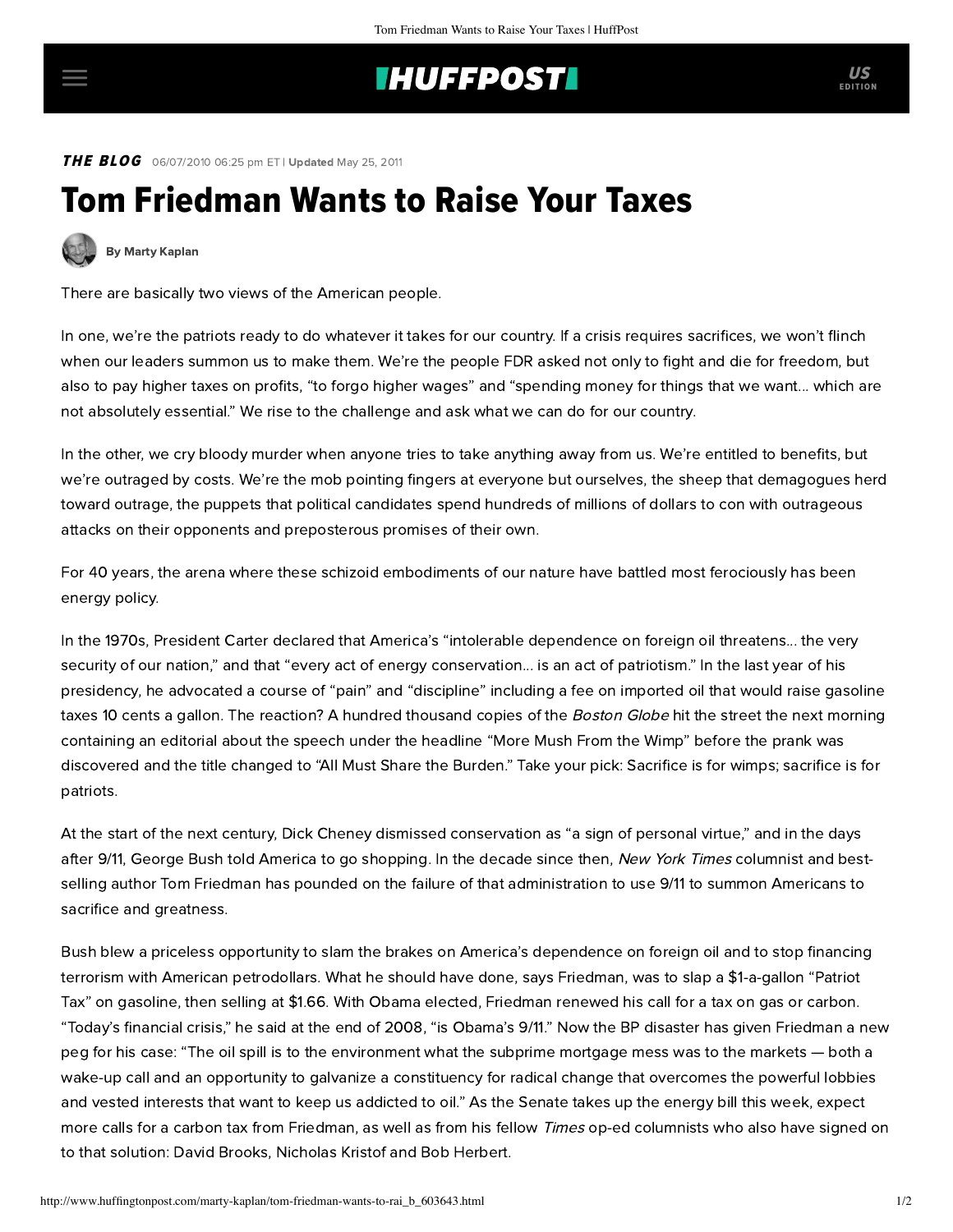## **INUFFPOSTI** US

**THE BLOG** 06/07/2010 06:25 pm ET | Updated May 25, 2011

## Tom Friedman Wants to Raise Your Taxes



[By Marty Kaplan](http://www.huffingtonpost.com/author/marty-kaplan)

There are basically two views of the American people.

In one, we're the patriots ready to do whatever it takes for our country. If a crisis requires sacrifices, we won't flinch when our leaders summon us to make them. We're the people FDR asked not only to fight and die for freedom, but also to pay higher taxes on profits, "to forgo higher wages" and "spending money for things that we want... which are not absolutely essential." We rise to the challenge and ask what we can do for our country.

In the other, we cry bloody murder when anyone tries to take anything away from us. We're entitled to benefits, but we're outraged by costs. We're the mob pointing fingers at everyone but ourselves, the sheep that demagogues herd toward outrage, the puppets that political candidates spend hundreds of millions of dollars to con with outrageous attacks on their opponents and preposterous promises of their own.

For 40 years, the arena where these schizoid embodiments of our nature have battled most ferociously has been energy policy.

In the 1970s, President Carter declared that America's "intolerable dependence on foreign oil threatens... the very security of our nation," and that "every act of energy conservation... is an act of patriotism." In the last year of his presidency, he advocated a course of "pain" and "discipline" including a fee on imported oil that would raise gasoline taxes 10 cents a gallon. The reaction? A hundred thousand copies of the Boston Globe hit the street the next morning containing an editorial about the speech under the headline "More Mush From the Wimp" before the prank was discovered and the title changed to "All Must Share the Burden." Take your pick: Sacrifice is for wimps; sacrifice is for patriots.

At the start of the next century, Dick Cheney dismissed conservation as "a sign of personal virtue," and in the days after 9/11, George Bush told America to go shopping. In the decade since then, New York Times columnist and bestselling author Tom Friedman has pounded on the failure of that administration to use 9/11 to summon Americans to sacrifice and greatness.

Bush blew a priceless opportunity to slam the brakes on America's dependence on foreign oil and to stop financing terrorism with American petrodollars. What he should have done, [says Friedman](http://query.nytimes.com/gst/fullpage.html?res=9C07E7D7143EF93AA25756C0A9669D8B63), was to slap a \$1-a-gallon "Patriot Tax" on gasoline, then selling at \$1.66. With Obama elected, Friedman renewed his call for a tax on gas or carbon. "Today's financial crisis," [he said](http://www.nytimes.com/2008/12/28/opinion/28friedman.html?_r=1) at the end of 2008, "is Obama's 9/11." Now the BP disaster has given Friedman a new peg for [his case](http://www.nytimes.com/2010/05/05/opinion/05friedman.html): "The oil spill is to the environment what the subprime mortgage mess was to the markets — both a wake-up call and an opportunity to galvanize a constituency for radical change that overcomes the powerful lobbies and vested interests that want to keep us addicted to oil." As the Senate takes up the energy bill this week, expect more calls for a carbon tax from Friedman, as well as from his fellow Times op-ed [columnists](http://www.carbontax.org/who-supports/authorswriterspundits/) who also have signed on to that solution: David Brooks, Nicholas Kristof and Bob Herbert.